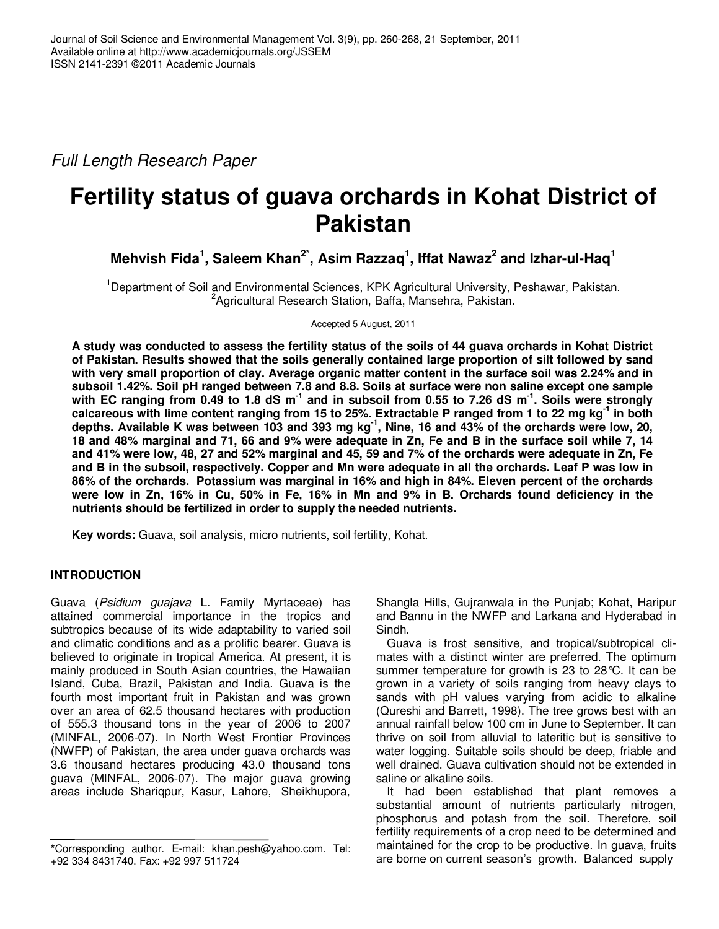Full Length Research Paper

# **Fertility status of guava orchards in Kohat District of Pakistan**

**Mehvish Fida<sup>1</sup> , Saleem Khan2\*, Asim Razzaq<sup>1</sup> , Iffat Nawaz<sup>2</sup> and Izhar-ul-Haq<sup>1</sup>**

<sup>1</sup>Department of Soil and Environmental Sciences, KPK Agricultural University, Peshawar, Pakistan. <sup>2</sup> Agricultural Research Station, Baffa, Mansehra, Pakistan.

Accepted 5 August, 2011

**A study was conducted to assess the fertility status of the soils of 44 guava orchards in Kohat District of Pakistan. Results showed that the soils generally contained large proportion of silt followed by sand with very small proportion of clay. Average organic matter content in the surface soil was 2.24% and in subsoil 1.42%. Soil pH ranged between 7.8 and 8.8. Soils at surface were non saline except one sample with EC ranging from 0.49 to 1.8 dS m-1 and in subsoil from 0.55 to 7.26 dS m-1. Soils were strongly calcareous with lime content ranging from 15 to 25%. Extractable P ranged from 1 to 22 mg kg-1 in both depths. Available K was between 103 and 393 mg kg-1, Nine, 16 and 43% of the orchards were low, 20, 18 and 48% marginal and 71, 66 and 9% were adequate in Zn, Fe and B in the surface soil while 7, 14 and 41% were low, 48, 27 and 52% marginal and 45, 59 and 7% of the orchards were adequate in Zn, Fe and B in the subsoil, respectively. Copper and Mn were adequate in all the orchards. Leaf P was low in 86% of the orchards. Potassium was marginal in 16% and high in 84%. Eleven percent of the orchards were low in Zn, 16% in Cu, 50% in Fe, 16% in Mn and 9% in B. Orchards found deficiency in the nutrients should be fertilized in order to supply the needed nutrients.** 

**Key words:** Guava, soil analysis, micro nutrients, soil fertility, Kohat.

# **INTRODUCTION**

Guava (Psidium guajava L. Family Myrtaceae) has attained commercial importance in the tropics and subtropics because of its wide adaptability to varied soil and climatic conditions and as a prolific bearer. Guava is believed to originate in tropical America. At present, it is mainly produced in South Asian countries, the Hawaiian Island, Cuba, Brazil, Pakistan and India. Guava is the fourth most important fruit in Pakistan and was grown over an area of 62.5 thousand hectares with production of 555.3 thousand tons in the year of 2006 to 2007 (MINFAL, 2006-07). In North West Frontier Provinces (NWFP) of Pakistan, the area under guava orchards was 3.6 thousand hectares producing 43.0 thousand tons guava (MINFAL, 2006-07). The major guava growing areas include Shariqpur, Kasur, Lahore, Sheikhupora,

Shangla Hills, Gujranwala in the Punjab; Kohat, Haripur and Bannu in the NWFP and Larkana and Hyderabad in Sindh.

Guava is frost sensitive, and tropical/subtropical climates with a distinct winter are preferred. The optimum summer temperature for growth is 23 to 28°C. It can be grown in a variety of soils ranging from heavy clays to sands with pH values varying from acidic to alkaline (Qureshi and Barrett, 1998). The tree grows best with an annual rainfall below 100 cm in June to September. It can thrive on soil from alluvial to lateritic but is sensitive to water logging. Suitable soils should be deep, friable and well drained. Guava cultivation should not be extended in saline or alkaline soils.

It had been established that plant removes a substantial amount of nutrients particularly nitrogen, phosphorus and potash from the soil. Therefore, soil fertility requirements of a crop need to be determined and maintained for the crop to be productive. In guava, fruits are borne on current season's growth. Balanced supply

**<sup>\*</sup>**Corresponding author. E-mail: khan.pesh@yahoo.com. Tel: +92 334 8431740. Fax: +92 997 511724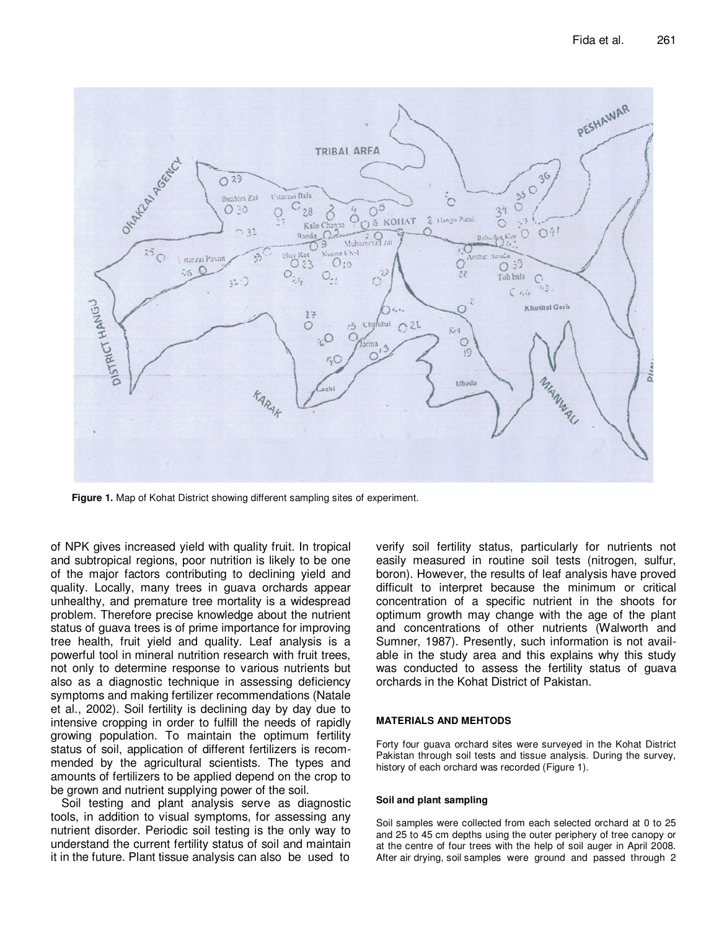

**Figure 1.** Map of Kohat District showing different sampling sites of experiment.

of NPK gives increased yield with quality fruit. In tropical and subtropical regions, poor nutrition is likely to be one of the major factors contributing to declining yield and quality. Locally, many trees in guava orchards appear unhealthy, and premature tree mortality is a widespread problem. Therefore precise knowledge about the nutrient status of guava trees is of prime importance for improving tree health, fruit yield and quality. Leaf analysis is a powerful tool in mineral nutrition research with fruit trees, not only to determine response to various nutrients but also as a diagnostic technique in assessing deficiency symptoms and making fertilizer recommendations (Natale et al., 2002). Soil fertility is declining day by day due to intensive cropping in order to fulfill the needs of rapidly growing population. To maintain the optimum fertility status of soil, application of different fertilizers is recommended by the agricultural scientists. The types and amounts of fertilizers to be applied depend on the crop to be grown and nutrient supplying power of the soil.

Soil testing and plant analysis serve as diagnostic tools, in addition to visual symptoms, for assessing any nutrient disorder. Periodic soil testing is the only way to understand the current fertility status of soil and maintain it in the future. Plant tissue analysis can also be used to

verify soil fertility status, particularly for nutrients not easily measured in routine soil tests (nitrogen, sulfur, boron). However, the results of leaf analysis have proved difficult to interpret because the minimum or critical concentration of a specific nutrient in the shoots for optimum growth may change with the age of the plant and concentrations of other nutrients (Walworth and Sumner, 1987). Presently, such information is not available in the study area and this explains why this study was conducted to assess the fertility status of guava orchards in the Kohat District of Pakistan.

#### **MATERIALS AND MEHTODS**

Forty four guava orchard sites were surveyed in the Kohat District Pakistan through soil tests and tissue analysis. During the survey, history of each orchard was recorded (Figure 1).

#### **Soil and plant sampling**

Soil samples were collected from each selected orchard at 0 to 25 and 25 to 45 cm depths using the outer periphery of tree canopy or at the centre of four trees with the help of soil auger in April 2008. After air drying, soil samples were ground and passed through 2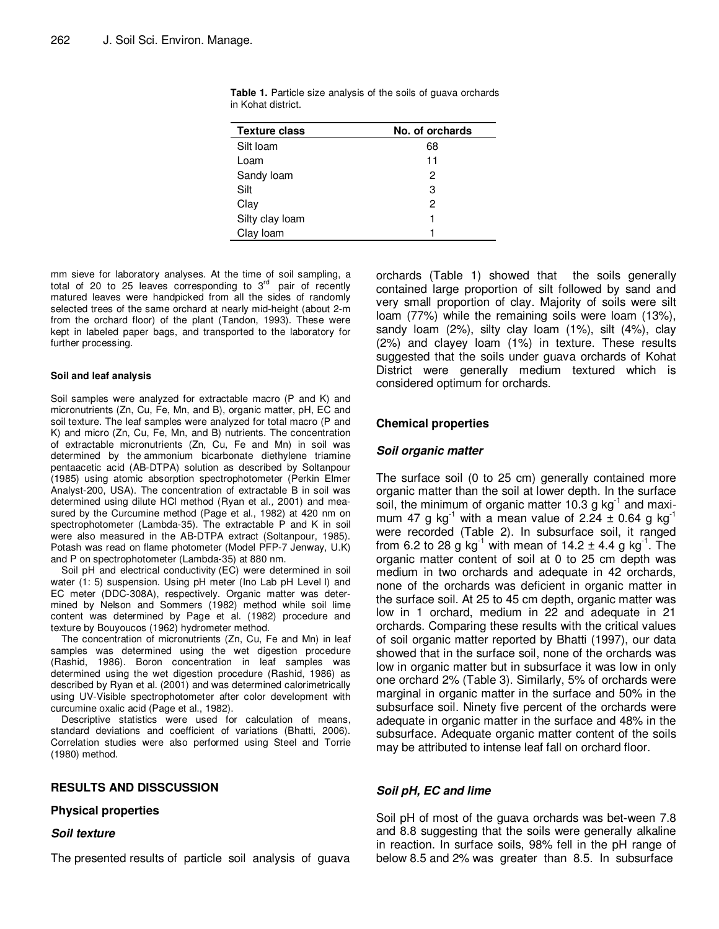| <b>Texture class</b> | No. of orchards |
|----------------------|-----------------|
| Silt Ioam            | 68              |
| Loam                 | 11              |
| Sandy loam           | 2               |
| Silt                 | З               |
| Clay                 | 2               |
| Silty clay loam      |                 |
| Clay Ioam            |                 |

**Table 1.** Particle size analysis of the soils of guava orchards in Kohat district.

mm sieve for laboratory analyses. At the time of soil sampling, a total of 20 to 25 leaves corresponding to  $3<sup>rd</sup>$  pair of recently matured leaves were handpicked from all the sides of randomly selected trees of the same orchard at nearly mid-height (about 2-m from the orchard floor) of the plant (Tandon, 1993). These were kept in labeled paper bags, and transported to the laboratory for further processing.

#### **Soil and leaf analysis**

Soil samples were analyzed for extractable macro (P and K) and micronutrients (Zn, Cu, Fe, Mn, and B), organic matter, pH, EC and soil texture. The leaf samples were analyzed for total macro (P and K) and micro (Zn, Cu, Fe, Mn, and B) nutrients. The concentration of extractable micronutrients (Zn, Cu, Fe and Mn) in soil was determined by the ammonium bicarbonate diethylene triamine pentaacetic acid (AB-DTPA) solution as described by Soltanpour (1985) using atomic absorption spectrophotometer (Perkin Elmer Analyst-200, USA). The concentration of extractable B in soil was determined using dilute HCl method (Ryan et al., 2001) and measured by the Curcumine method (Page et al., 1982) at 420 nm on spectrophotometer (Lambda-35). The extractable P and K in soil were also measured in the AB-DTPA extract (Soltanpour, 1985). Potash was read on flame photometer (Model PFP-7 Jenway, U.K) and P on spectrophotometer (Lambda-35) at 880 nm.

Soil pH and electrical conductivity (EC) were determined in soil water (1: 5) suspension. Using pH meter (Ino Lab pH Level I) and EC meter (DDC-308A), respectively. Organic matter was determined by Nelson and Sommers (1982) method while soil lime content was determined by Page et al. (1982) procedure and texture by Bouyoucos (1962) hydrometer method.

The concentration of micronutrients (Zn, Cu, Fe and Mn) in leaf samples was determined using the wet digestion procedure (Rashid, 1986). Boron concentration in leaf samples was determined using the wet digestion procedure (Rashid, 1986) as described by Ryan et al. (2001) and was determined calorimetrically using UV-Visible spectrophotometer after color development with curcumine oxalic acid (Page et al., 1982).

Descriptive statistics were used for calculation of means, standard deviations and coefficient of variations (Bhatti, 2006). Correlation studies were also performed using Steel and Torrie (1980) method.

# **RESULTS AND DISSCUSSION**

#### **Physical properties**

#### **Soil texture**

The presented results of particle soil analysis of guava

orchards (Table 1) showed that the soils generally contained large proportion of silt followed by sand and very small proportion of clay. Majority of soils were silt loam (77%) while the remaining soils were loam (13%), sandy loam (2%), silty clay loam (1%), silt (4%), clay (2%) and clayey loam (1%) in texture. These results suggested that the soils under guava orchards of Kohat District were generally medium textured which is considered optimum for orchards.

# **Chemical properties**

#### **Soil organic matter**

The surface soil (0 to 25 cm) generally contained more organic matter than the soil at lower depth. In the surface soil, the minimum of organic matter 10.3 g  $kg^{-1}$  and maximum 47 g kg<sup>-1</sup> with a mean value of 2.24  $\pm$  0.64 g kg<sup>-1</sup> were recorded (Table 2). In subsurface soil, it ranged from 6.2 to 28 g kg<sup>-1</sup> with mean of 14.2  $\pm$  4.4 g kg<sup>-1</sup>. The organic matter content of soil at 0 to 25 cm depth was medium in two orchards and adequate in 42 orchards, none of the orchards was deficient in organic matter in the surface soil. At 25 to 45 cm depth, organic matter was low in 1 orchard, medium in 22 and adequate in 21 orchards. Comparing these results with the critical values of soil organic matter reported by Bhatti (1997), our data showed that in the surface soil, none of the orchards was low in organic matter but in subsurface it was low in only one orchard 2% (Table 3). Similarly, 5% of orchards were marginal in organic matter in the surface and 50% in the subsurface soil. Ninety five percent of the orchards were adequate in organic matter in the surface and 48% in the subsurface. Adequate organic matter content of the soils may be attributed to intense leaf fall on orchard floor.

# **Soil pH, EC and lime**

Soil pH of most of the guava orchards was bet-ween 7.8 and 8.8 suggesting that the soils were generally alkaline in reaction. In surface soils, 98% fell in the pH range of below 8.5 and 2% was greater than 8.5. In subsurface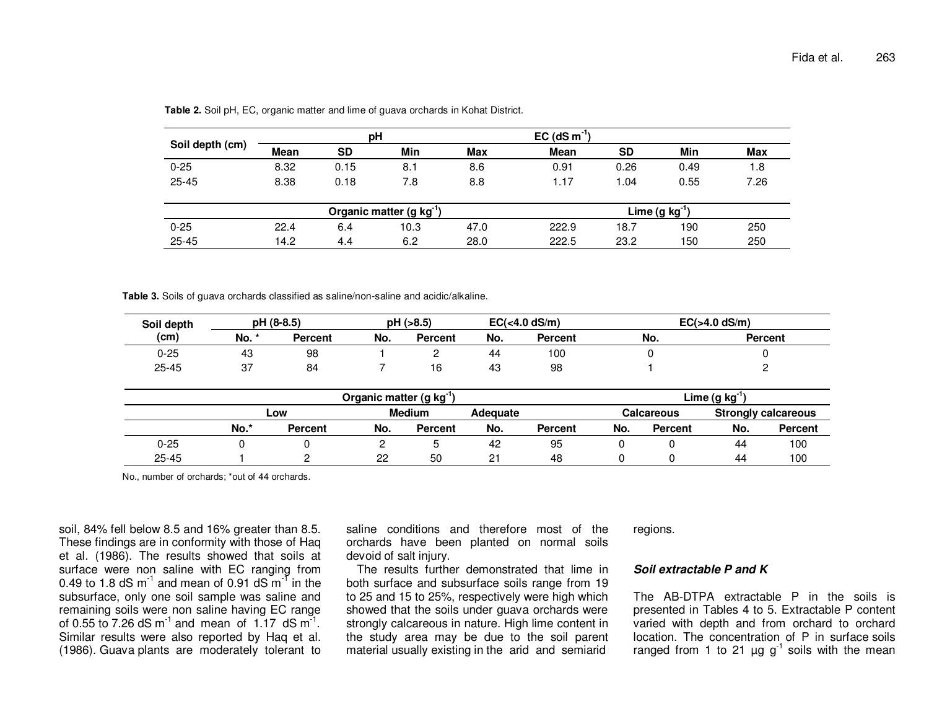|                 | рH          |           |                                      |            | $EC$ (dS m <sup>-1</sup> ) |                         |      |      |
|-----------------|-------------|-----------|--------------------------------------|------------|----------------------------|-------------------------|------|------|
| Soil depth (cm) | <b>Mean</b> | <b>SD</b> | Min                                  | <b>Max</b> | <b>Mean</b>                | <b>SD</b>               | Min  | Max  |
| $0 - 25$        | 8.32        | 0.15      | 8.1                                  | 8.6        | 0.91                       | 0.26                    | 0.49 | 1.8  |
| $25 - 45$       | 8.38        | 0.18      | 7.8                                  | 8.8        | 1.17                       | 1.04                    | 0.55 | 7.26 |
|                 |             |           | Organic matter (g kg <sup>-1</sup> ) |            |                            | Lime (g kg <sup>"</sup> |      |      |
| $0 - 25$        | 22.4        | 6.4       | 10.3                                 | 47.0       | 222.9                      | 18.7                    | 190  | 250  |
| $25 - 45$       | 14.2        | 4.4       | 6.2                                  | 28.0       | 222.5                      | 23.2                    | 150  | 250  |

**Table 2.** Soil pH, EC, organic matter and lime of guava orchards in Kohat District.

**Table 3.** Soils of guava orchards classified as saline/non-saline and acidic/alkaline.

| Soil depth |             | pH (8-8.5)     | pH (>8.5) |                | $EC(4.0 dS/m)$ |                | $EC(>4.0$ dS/m) |                |
|------------|-------------|----------------|-----------|----------------|----------------|----------------|-----------------|----------------|
| (cm)       | No.<br>*    | <b>Percent</b> | No.       | <b>Percent</b> | No.            | <b>Percent</b> | No.             | <b>Percent</b> |
| 0-25       | 43          | 98             |           |                | -44            | 100            |                 |                |
| $25 - 45$  | $\sim$<br>ັ | 84             |           |                | 43             | 98             |                 |                |

|           | Organic matter (g kg <sup>-1</sup> ) |                |     |         |      |                |     |                   | Lime $(g kg^{-1})$ |                            |
|-----------|--------------------------------------|----------------|-----|---------|------|----------------|-----|-------------------|--------------------|----------------------------|
|           | <b>Medium</b><br>Adequate<br>Low     |                |     |         |      |                |     | <b>Calcareous</b> |                    | <b>Strongly calcareous</b> |
|           | No.*                                 | <b>Percent</b> | No. | Percent | No.  | <b>Percent</b> | No. | <b>Percent</b>    | No.                | <b>Percent</b>             |
| 0-25      |                                      |                |     |         | 42   | 95             |     |                   | 44                 | 100                        |
| $25 - 45$ |                                      |                | 22  | 50      | ົາ 1 | 48             |     |                   | 44                 | 100                        |

No., number of orchards; \*out of 44 orchards.

soil, 84% fell below 8.5 and 16% greater than 8.5. These findings are in conformity with those of Haq et al. (1986). The results showed that soils at surface were non saline with EC ranging from<br>0.49 to 1.8 dS m<sup>-1</sup> and mean of 0.91 dS m<sup>-1</sup> in the subsurface, only one soil sample was saline and remaining soils were non saline having EC range<br>of 0.55 to 7.26 dS m<sup>-1</sup> and mean of 1.17 dS m<sup>-1</sup>. Similar results were also reported by Haq et al. (1986). Guava plants are moderately tolerant to saline conditions and therefore most of the orchards have been planted on normal soils devoid of salt injury.

 The results further demonstrated that lime in both surface and subsurface soils range from 19 to 25 and 15 to 25%, respectively were high which showed that the soils under guava orchards were strongly calcareous in nature. High lime content in the study area may be due to the soil parent material usually existing in the arid and semiarid

regions.

## **Soil extractable P and K**

The AB-DTPA extractable P in the soils is presented in Tables 4 to 5. Extractable P content varied with depth and from orchard to orchard location. The concentration of P in surface soils ranged from 1 to 21  $\mu$ g g<sup>-1</sup> soils with the mean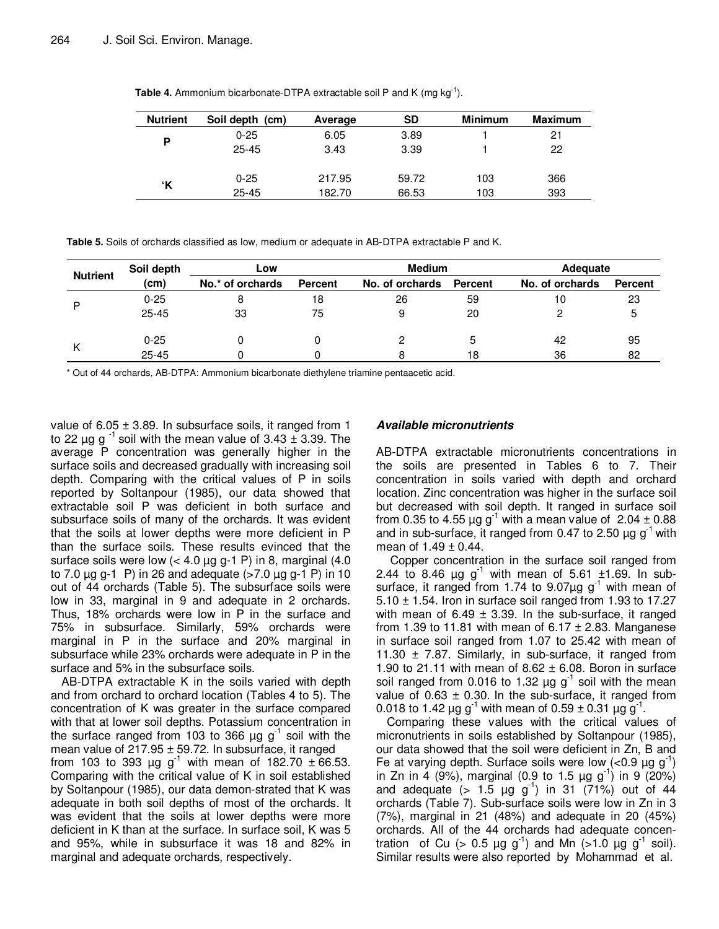| <b>Nutrient</b> | Soil depth (cm) | Average | <b>SD</b> | <b>Minimum</b> | Maximum |
|-----------------|-----------------|---------|-----------|----------------|---------|
| P               | $0 - 25$        | 6.05    | 3.89      |                | 21      |
|                 | $25 - 45$       | 3.43    | 3.39      |                | 22      |
|                 |                 |         |           |                |         |
| ʻΚ              | $0 - 25$        | 217.95  | 59.72     | 103            | 366     |
|                 | $25 - 45$       | 182.70  | 66.53     | 103            | 393     |

**Table 4.** Ammonium bicarbonate-DTPA extractable soil P and K (mg kg<sup>-1</sup>).

**Table 5.** Soils of orchards classified as low, medium or adequate in AB-DTPA extractable P and K.

|                 | Soil depth | Low              |         | <b>Medium</b>   |         | Adequate        |                |  |
|-----------------|------------|------------------|---------|-----------------|---------|-----------------|----------------|--|
| <b>Nutrient</b> | (cm)       | No.* of orchards | Percent | No. of orchards | Percent | No. of orchards | <b>Percent</b> |  |
| D               | $0 - 25$   |                  | 18      | 26              | 59      | 10              | 23             |  |
|                 | $25 - 45$  | 33               | 75      | 9               | 20      |                 |                |  |
|                 | $0 - 25$   |                  |         |                 |         | 42              | 95             |  |
|                 | $25 - 45$  |                  |         |                 | 18      | 36              | 82             |  |

\* Out of 44 orchards, AB-DTPA: Ammonium bicarbonate diethylene triamine pentaacetic acid.

value of  $6.05 \pm 3.89$ . In subsurface soils, it ranged from 1 to 22  $\mu$ g g<sup>-1</sup> soil with the mean value of 3.43  $\pm$  3.39. The average P concentration was generally higher in the surface soils and decreased gradually with increasing soil depth. Comparing with the critical values of P in soils reported by Soltanpour (1985), our data showed that extractable soil P was deficient in both surface and subsurface soils of many of the orchards. It was evident that the soils at lower depths were more deficient in P than the surface soils. These results evinced that the surface soils were low  $( $4.0 \mu g g^{-1} P$ )$  in 8, marginal  $(4.0 \mu g g^{-1} g)$ to 7.0  $\mu$ g g-1 P) in 26 and adequate ( $>$ 7.0  $\mu$ g g-1 P) in 10 out of 44 orchards (Table 5). The subsurface soils were low in 33, marginal in 9 and adequate in 2 orchards. Thus, 18% orchards were low in P in the surface and 75% in subsurface. Similarly, 59% orchards were marginal in P in the surface and 20% marginal in subsurface while 23% orchards were adequate in P in the surface and 5% in the subsurface soils.

AB-DTPA extractable K in the soils varied with depth and from orchard to orchard location (Tables 4 to 5). The concentration of K was greater in the surface compared with that at lower soil depths. Potassium concentration in the surface ranged from 103 to 366  $\mu$ g g<sup>-1</sup> soil with the mean value of  $217.95 \pm 59.72$ . In subsurface, it ranged from 103 to 393  $\mu$ g g<sup>-1</sup> with mean of 182.70  $\pm$  66.53. Comparing with the critical value of K in soil established by Soltanpour (1985), our data demon-strated that K was adequate in both soil depths of most of the orchards. It was evident that the soils at lower depths were more deficient in K than at the surface. In surface soil, K was 5 and 95%, while in subsurface it was 18 and 82% in marginal and adequate orchards, respectively.

# **Available micronutrients**

AB-DTPA extractable micronutrients concentrations in the soils are presented in Tables 6 to 7. Their concentration in soils varied with depth and orchard location. Zinc concentration was higher in the surface soil but decreased with soil depth. It ranged in surface soil from 0.35 to 4.55  $\mu$ g g<sup>-1</sup> with a mean value of 2.04  $\pm$  0.88 and in sub-surface, it ranged from 0.47 to 2.50  $\mu$ g g<sup>-1</sup> with mean of  $1.49 \pm 0.44$ .

 Copper concentration in the surface soil ranged from 2.44 to 8.46  $\mu$ g g<sup>-1</sup> with mean of 5.61  $\pm$ 1.69. In subsurface, it ranged from 1.74 to 9.07 $\mu$ g g<sup>-1</sup> with mean of  $5.10 \pm 1.54$ . Iron in surface soil ranged from 1.93 to 17.27 with mean of 6.49  $\pm$  3.39. In the sub-surface, it ranged from 1.39 to 11.81 with mean of  $6.17 \pm 2.83$ . Manganese in surface soil ranged from 1.07 to 25.42 with mean of 11.30  $\pm$  7.87. Similarly, in sub-surface, it ranged from 1.90 to 21.11 with mean of  $8.62 \pm 6.08$ . Boron in surface soil ranged from 0.016 to 1.32  $\mu$ g g<sup>-1</sup> soil with the mean value of  $0.63 \pm 0.30$ . In the sub-surface, it ranged from 0.018 to 1.42  $\mu$ g g<sup>-1</sup> with mean of 0.59  $\pm$  0.31  $\mu$ g g<sup>-1</sup>.

Comparing these values with the critical values of micronutrients in soils established by Soltanpour (1985), our data showed that the soil were deficient in Zn, B and Fe at varying depth. Surface soils were low  $\left($ <0.9  $\mu$ g g<sup>-1</sup>) in Zn in 4 (9%), marginal (0.9 to 1.5  $\mu$ g g<sup>-1</sup>) in 9 (20%) and adequate  $(> 1.5 \mu g g^{-1})$  in 31 (71%) out of 44 orchards (Table 7). Sub-surface soils were low in Zn in 3 (7%), marginal in 21 (48%) and adequate in 20 (45%) orchards. All of the 44 orchards had adequate concentration of Cu  $(> 0.5 \mu g g^{-1})$  and Mn  $(>1.0 \mu g g^{-1} s$ oil). Similar results were also reported by Mohammad et al.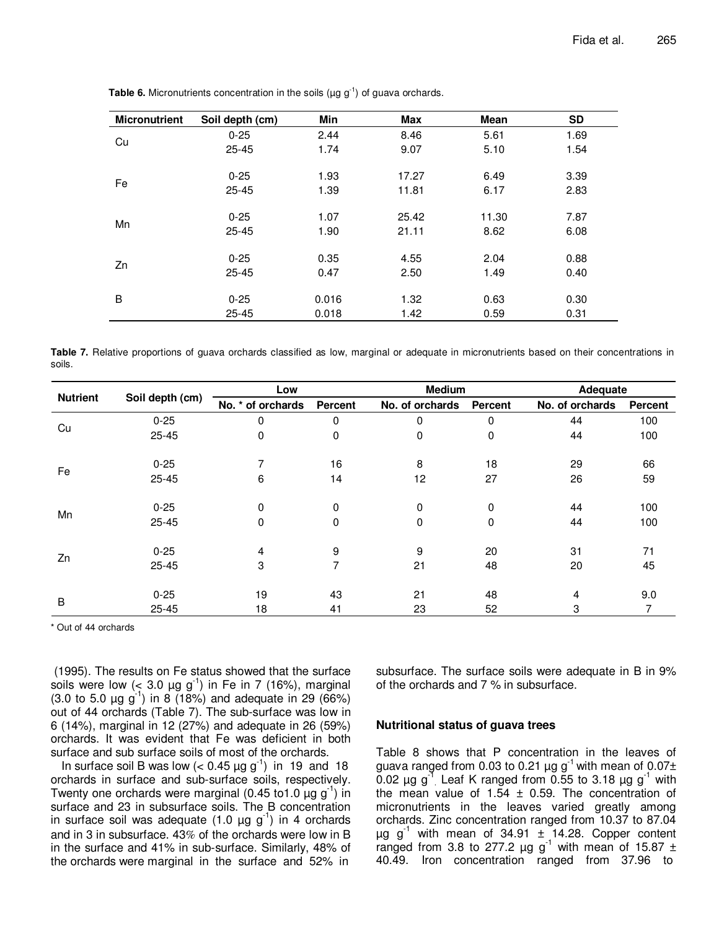| <b>Micronutrient</b> | Soil depth (cm) | Min   | Max   | <b>Mean</b> | <b>SD</b> |
|----------------------|-----------------|-------|-------|-------------|-----------|
| Cu                   | $0 - 25$        | 2.44  | 8.46  | 5.61        | 1.69      |
|                      | $25 - 45$       | 1.74  | 9.07  | 5.10        | 1.54      |
|                      | $0 - 25$        | 1.93  | 17.27 | 6.49        | 3.39      |
| Fe                   | $25 - 45$       | 1.39  | 11.81 | 6.17        | 2.83      |
|                      | $0 - 25$        | 1.07  | 25.42 | 11.30       | 7.87      |
| Mn                   | $25 - 45$       | 1.90  | 21.11 | 8.62        | 6.08      |
|                      |                 |       |       |             |           |
| Zn                   | $0 - 25$        | 0.35  | 4.55  | 2.04        | 0.88      |
|                      | $25 - 45$       | 0.47  | 2.50  | 1.49        | 0.40      |
| B                    | $0 - 25$        | 0.016 | 1.32  | 0.63        | 0.30      |
|                      | $25 - 45$       | 0.018 | 1.42  | 0.59        | 0.31      |

**Table 6.** Micronutrients concentration in the soils ( $\mu$ g g<sup>-1</sup>) of guava orchards.

**Table 7.** Relative proportions of guava orchards classified as low, marginal or adequate in micronutrients based on their concentrations in soils.

| <b>Nutrient</b> |                 | Low               |                | <b>Medium</b>   |                | Adequate        |         |
|-----------------|-----------------|-------------------|----------------|-----------------|----------------|-----------------|---------|
|                 | Soil depth (cm) | No. * of orchards | Percent        | No. of orchards | <b>Percent</b> | No. of orchards | Percent |
|                 | $0 - 25$        | 0                 | 0              | 0               | 0              | 44              | 100     |
| Cu              | $25 - 45$       | 0                 | 0              | 0               | 0              | 44              | 100     |
|                 | $0 - 25$        | 7                 | 16             | 8               | 18             | 29              | 66      |
| Fe              | $25 - 45$       | 6                 | 14             | 12              | 27             | 26              | 59      |
|                 | $0 - 25$        | 0                 | 0              | 0               | 0              | 44              | 100     |
| Mn              | $25 - 45$       | $\Omega$          | 0              | 0               | 0              | 44              | 100     |
|                 | $0 - 25$        | 4                 | 9              | 9               | 20             | 31              | 71      |
| Zn              | $25 - 45$       | 3                 | $\overline{7}$ | 21              | 48             | 20              | 45      |
|                 | $0 - 25$        | 19                | 43             | 21              | 48             | 4               | 9.0     |
| $\sf B$         | $25 - 45$       | 18                | 41             | 23              | 52             | 3               |         |

\* Out of 44 orchards

 (1995). The results on Fe status showed that the surface soils were low  $(< 3.0 \mu g g^{-1})$  in Fe in 7 (16%), marginal (3.0 to 5.0  $\mu$ g g<sup>-1</sup>) in 8 (18%) and adequate in 29 (66%) out of 44 orchards (Table 7). The sub-surface was low in 6 (14%), marginal in 12 (27%) and adequate in 26 (59%) orchards. It was evident that Fe was deficient in both surface and sub surface soils of most of the orchards.

In surface soil B was low  $(< 0.45 \mu g g^{-1})$  in 19 and 18 orchards in surface and sub-surface soils, respectively. Twenty one orchards were marginal (0.45 to 1.0  $\mu$ g g<sup>-1</sup>) in surface and 23 in subsurface soils. The B concentration in surface soil was adequate  $(1.0 \mu g g^{-1})$  in 4 orchards and in 3 in subsurface. 43% of the orchards were low in B in the surface and 41% in sub-surface. Similarly, 48% of the orchards were marginal in the surface and 52% in

subsurface. The surface soils were adequate in B in 9% of the orchards and 7 % in subsurface.

# **Nutritional status of guava trees**

Table 8 shows that P concentration in the leaves of guava ranged from 0.03 to 0.21  $\mu$ g g<sup>-1</sup> with mean of 0.07± 0.02  $\mu$ g g<sup>-1</sup> Leaf K ranged from 0.55 to 3.18  $\mu$ g g<sup>-1</sup> with the mean value of  $1.54 \pm 0.59$ . The concentration of micronutrients in the leaves varied greatly among orchards. Zinc concentration ranged from 10.37 to 87.04  $\mu$ g g<sup>-1</sup> with mean of 34.91  $\pm$  14.28. Copper content ranged from 3.8 to 277.2  $\mu$ g g<sup>1</sup> with mean of 15.87 ± 40.49. Iron concentration ranged from 37.96 to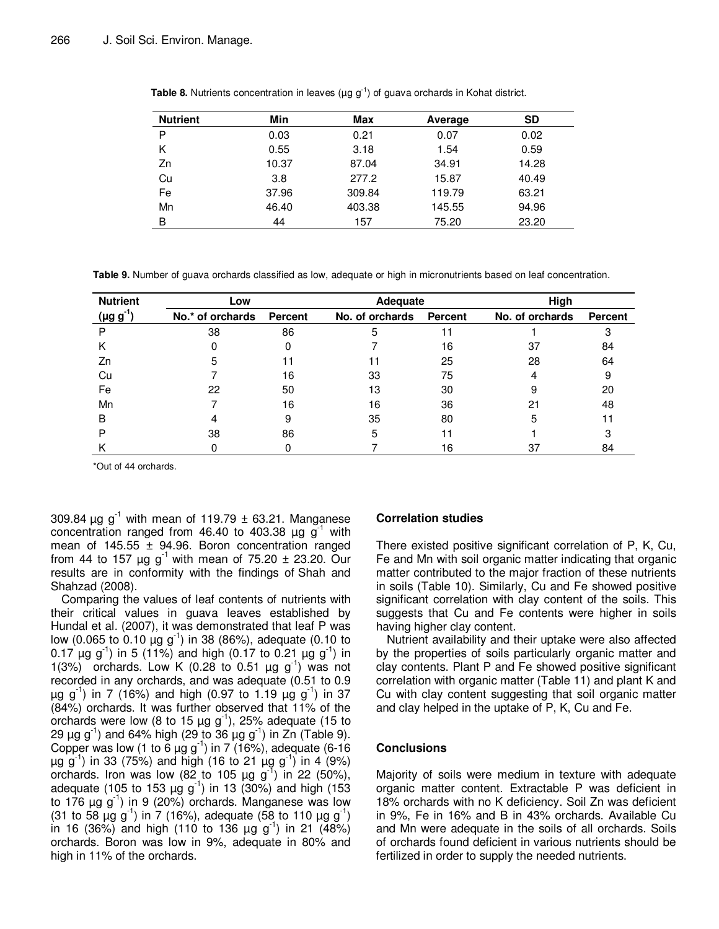| <b>Nutrient</b> | Min   | Max    | Average | <b>SD</b> |
|-----------------|-------|--------|---------|-----------|
| P               | 0.03  | 0.21   | 0.07    | 0.02      |
| K               | 0.55  | 3.18   | 1.54    | 0.59      |
| Zn              | 10.37 | 87.04  | 34.91   | 14.28     |
| Cu              | 3.8   | 277.2  | 15.87   | 40.49     |
| Fe              | 37.96 | 309.84 | 119.79  | 63.21     |
| Mn              | 46.40 | 403.38 | 145.55  | 94.96     |
| В               | 44    | 157    | 75.20   | 23.20     |

**Table 8.** Nutrients concentration in leaves (µg g<sup>-1</sup>) of guava orchards in Kohat district.

**Table 9.** Number of guava orchards classified as low, adequate or high in micronutrients based on leaf concentration.

| <b>Nutrient</b>  | Low              |                | Adequate        |         | High            |                |  |
|------------------|------------------|----------------|-----------------|---------|-----------------|----------------|--|
| $(\mu g g^{-1})$ | No.* of orchards | <b>Percent</b> | No. of orchards | Percent | No. of orchards | <b>Percent</b> |  |
|                  | 38               | 86             | 5               | 11      |                 |                |  |
| ĸ                |                  |                |                 | 16      | 37              | 84             |  |
| Zn               | 5                |                |                 | 25      | 28              | 64             |  |
| Cu               |                  | 16             | 33              | 75      |                 | 9              |  |
| Fe               | 22               | 50             | 13              | 30      |                 | 20             |  |
| Mn               |                  | 16             | 16              | 36      | 21              | 48             |  |
| в                |                  | 9              | 35              | 80      | 5               |                |  |
|                  | 38               | 86             | 5               | 11      |                 |                |  |
|                  |                  |                |                 | 16      | 37              | 84             |  |

\*Out of 44 orchards.

309.84  $\mu$ g g<sup>-1</sup> with mean of 119.79  $\pm$  63.21. Manganese concentration ranged from 46.40 to 403.38  $\mu$ g g<sup>-1</sup> with mean of  $145.55 \pm 94.96$ . Boron concentration ranged from 44 to 157  $\mu$ g g<sup>-1</sup> with mean of 75.20  $\pm$  23.20. Our results are in conformity with the findings of Shah and Shahzad (2008).

Comparing the values of leaf contents of nutrients with their critical values in guava leaves established by Hundal et al. (2007), it was demonstrated that leaf P was low (0.065 to 0.10  $\mu$ g g<sup>-1</sup>) in 38 (86%), adequate (0.10 to 0.17  $\mu$ g g<sup>-1</sup>) in 5 (11%) and high (0.17 to 0.21  $\mu$ g g<sup>-1</sup>) in 1(3%) orchards. Low K (0.28 to 0.51  $\mu$ g g<sup>-1</sup>) was not recorded in any orchards, and was adequate (0.51 to 0.9  $\mu$ g g<sup>-1</sup>) in 7 (16%) and high (0.97 to 1.19  $\mu$ g g<sup>-1</sup>) in 37 (84%) orchards. It was further observed that 11% of the orchards were low (8 to 15  $\mu$ g g<sup>-1</sup>), 25% adequate (15 to 29 μg g<sup>-1</sup>) and 64% high (29 to 36 μg g<sup>-1</sup>) in Zn (Table 9). Copper was low (1 to 6  $\mu$ g g<sup>-1</sup>) in 7 (16%), adequate (6-16  $\mu$ g g<sup>-1</sup>) in 33 (75%) and high (16 to 21  $\mu$ g g<sup>-1</sup>) in 4 (9%) orchards. Iron was low (82 to 105  $\mu$ g g<sup>-1</sup>) in 22 (50%), adequate (105 to 153  $\mu$ g g<sup>-1</sup>) in 13 (30%) and high (153 to 176  $\mu$ g g<sup>-1</sup>) in 9 (20%) orchards. Manganese was low (31 to 58  $\mu$ g g<sup>-1</sup>) in 7 (16%), adequate (58 to 110  $\mu$ g g<sup>-1</sup>) in 16 (36%) and high (110 to 136  $\mu$ g g<sup>-1</sup>) in 21 (48%) orchards. Boron was low in 9%, adequate in 80% and high in 11% of the orchards.

# **Correlation studies**

There existed positive significant correlation of P, K, Cu, Fe and Mn with soil organic matter indicating that organic matter contributed to the major fraction of these nutrients in soils (Table 10). Similarly, Cu and Fe showed positive significant correlation with clay content of the soils. This suggests that Cu and Fe contents were higher in soils having higher clay content.

Nutrient availability and their uptake were also affected by the properties of soils particularly organic matter and clay contents. Plant P and Fe showed positive significant correlation with organic matter (Table 11) and plant K and Cu with clay content suggesting that soil organic matter and clay helped in the uptake of P, K, Cu and Fe.

# **Conclusions**

Majority of soils were medium in texture with adequate organic matter content. Extractable P was deficient in 18% orchards with no K deficiency. Soil Zn was deficient in 9%, Fe in 16% and B in 43% orchards. Available Cu and Mn were adequate in the soils of all orchards. Soils of orchards found deficient in various nutrients should be fertilized in order to supply the needed nutrients.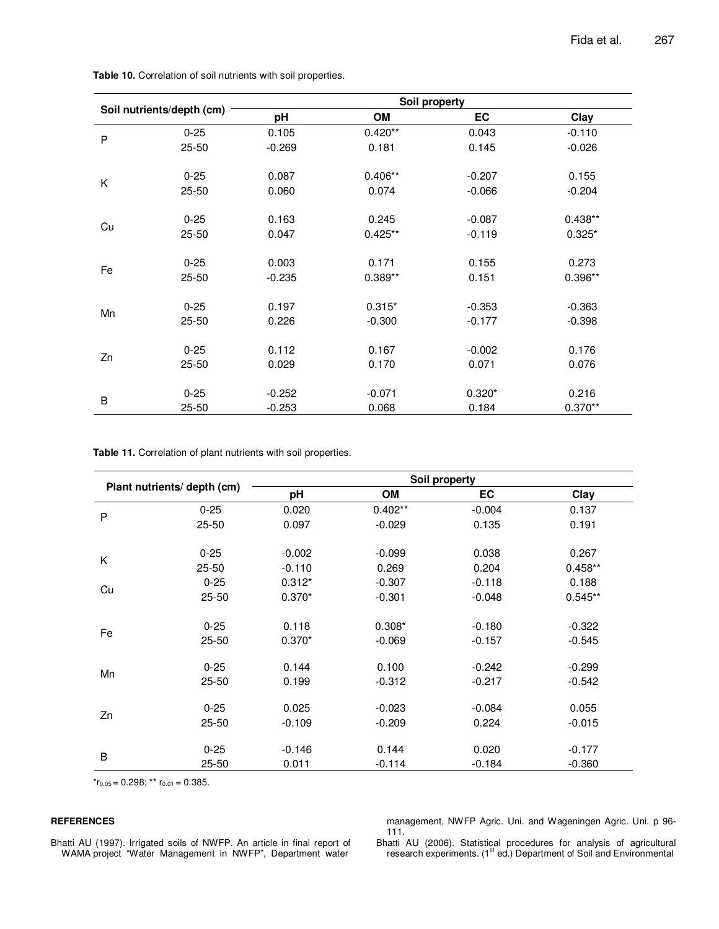|              |                           |          | Soil property |          |           |
|--------------|---------------------------|----------|---------------|----------|-----------|
|              | Soil nutrients/depth (cm) | pH       | OM            | EC       | Clay      |
| $\mathsf{P}$ | $0 - 25$                  | 0.105    | $0.420**$     | 0.043    | $-0.110$  |
|              | $25 - 50$                 | $-0.269$ | 0.181         | 0.145    | $-0.026$  |
| K            | $0 - 25$                  | 0.087    | $0.406**$     | $-0.207$ | 0.155     |
|              | $25 - 50$                 | 0.060    | 0.074         | $-0.066$ | $-0.204$  |
|              | $0 - 25$                  | 0.163    | 0.245         | $-0.087$ | $0.438**$ |
| Cu           | $25 - 50$                 | 0.047    | $0.425**$     | $-0.119$ | $0.325*$  |
|              | $0 - 25$                  | 0.003    | 0.171         | 0.155    | 0.273     |
| Fe           | $25 - 50$                 | $-0.235$ | $0.389**$     | 0.151    | $0.396**$ |
|              | $0 - 25$                  | 0.197    | $0.315*$      | $-0.353$ | $-0.363$  |
| Mn           | $25 - 50$                 | 0.226    | $-0.300$      | $-0.177$ | $-0.398$  |
|              | $0 - 25$                  | 0.112    | 0.167         | $-0.002$ | 0.176     |
| Zn           | $25 - 50$                 | 0.029    | 0.170         | 0.071    | 0.076     |
|              | $0 - 25$                  | $-0.252$ | $-0.071$      | $0.320*$ | 0.216     |
| B            | $25 - 50$                 | $-0.253$ | 0.068         | 0.184    | $0.370**$ |

**Table 10.** Correlation of soil nutrients with soil properties.

**Table 11.** Correlation of plant nutrients with soil properties.

|    |                             | Soil property |           |          |           |  |  |  |  |
|----|-----------------------------|---------------|-----------|----------|-----------|--|--|--|--|
|    | Plant nutrients/ depth (cm) | pH            | OM        | EC       | Clay      |  |  |  |  |
| P  | $0 - 25$                    | 0.020         | $0.402**$ | $-0.004$ | 0.137     |  |  |  |  |
|    | $25 - 50$                   | 0.097         | $-0.029$  | 0.135    | 0.191     |  |  |  |  |
|    | $0 - 25$                    | $-0.002$      | $-0.099$  | 0.038    | 0.267     |  |  |  |  |
| K  | $25 - 50$                   | $-0.110$      | 0.269     | 0.204    | $0.458**$ |  |  |  |  |
| Cu | $0 - 25$                    | $0.312*$      | $-0.307$  | $-0.118$ | 0.188     |  |  |  |  |
|    | 25-50                       | $0.370*$      | $-0.301$  | $-0.048$ | $0.545**$ |  |  |  |  |
|    | $0 - 25$                    | 0.118         | $0.308*$  | $-0.180$ | $-0.322$  |  |  |  |  |
| Fe | 25-50                       | $0.370*$      | $-0.069$  | $-0.157$ | $-0.545$  |  |  |  |  |
|    | $0 - 25$                    | 0.144         | 0.100     | $-0.242$ | $-0.299$  |  |  |  |  |
| Mn | $25 - 50$                   | 0.199         | $-0.312$  | $-0.217$ | $-0.542$  |  |  |  |  |
|    | $0 - 25$                    | 0.025         | $-0.023$  | $-0.084$ | 0.055     |  |  |  |  |
| Zn | $25 - 50$                   | $-0.109$      | $-0.209$  | 0.224    | $-0.015$  |  |  |  |  |
|    |                             |               |           |          |           |  |  |  |  |
| B  | $0 - 25$                    | $-0.146$      | 0.144     | 0.020    | $-0.177$  |  |  |  |  |
|    | $25 - 50$                   | 0.011         | $-0.114$  | $-0.184$ | $-0.360$  |  |  |  |  |

 $r_{0.05}$  = 0.298; \*\*  $r_{0.01}$  = 0.385.

# **REFERENCES**

Bhatti AU (1997). Irrigated soils of NWFP. An article in final report of WAMA project "Water Management in NWFP", Department water

management, NWFP Agric. Uni. and Wageningen Agric. Uni. p 96- 111.

Bhatti AU (2006). Statistical procedures for analysis of agricultural research experiments. (1<sup>st</sup> ed.) Department of Soil and Environmental